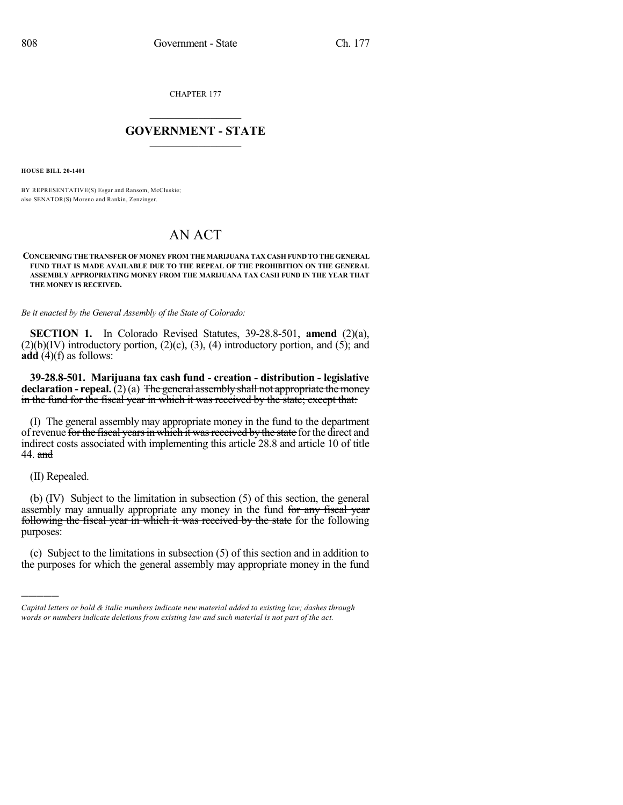CHAPTER 177

## $\overline{\phantom{a}}$  . The set of the set of the set of the set of the set of the set of the set of the set of the set of the set of the set of the set of the set of the set of the set of the set of the set of the set of the set o **GOVERNMENT - STATE**  $\_$

**HOUSE BILL 20-1401**

BY REPRESENTATIVE(S) Esgar and Ransom, McCluskie; also SENATOR(S) Moreno and Rankin, Zenzinger.

## AN ACT

## **CONCERNING THE TRANSFER OF MONEY FROM THE MARIJUANA TAX CASH FUND TO THE GENERAL FUND THAT IS MADE AVAILABLE DUE TO THE REPEAL OF THE PROHIBITION ON THE GENERAL ASSEMBLY APPROPRIATING MONEY FROM THE MARIJUANA TAX CASH FUND IN THE YEAR THAT THE MONEY IS RECEIVED.**

*Be it enacted by the General Assembly of the State of Colorado:*

**SECTION 1.** In Colorado Revised Statutes, 39-28.8-501, **amend** (2)(a),  $(2)(b)(IV)$  introductory portion,  $(2)(c)$ ,  $(3)$ ,  $(4)$  introductory portion, and  $(5)$ ; and **add** (4)(f) as follows:

**39-28.8-501. Marijuana tax cash fund - creation - distribution - legislative declaration - repeal.**(2)(a) The general assembly shall not appropriate themoney in the fund for the fiscal year in which it was received by the state; except that:

(I) The general assembly may appropriate money in the fund to the department of revenue for the fiscal years in which it was received by the state for the direct and indirect costs associated with implementing this article 28.8 and article 10 of title 44. and

(II) Repealed.

)))))

(b) (IV) Subject to the limitation in subsection (5) of this section, the general assembly may annually appropriate any money in the fund for any fiscal year following the fiscal year in which it was received by the state for the following purposes:

(c) Subject to the limitations in subsection (5) of this section and in addition to the purposes for which the general assembly may appropriate money in the fund

*Capital letters or bold & italic numbers indicate new material added to existing law; dashes through words or numbers indicate deletions from existing law and such material is not part of the act.*